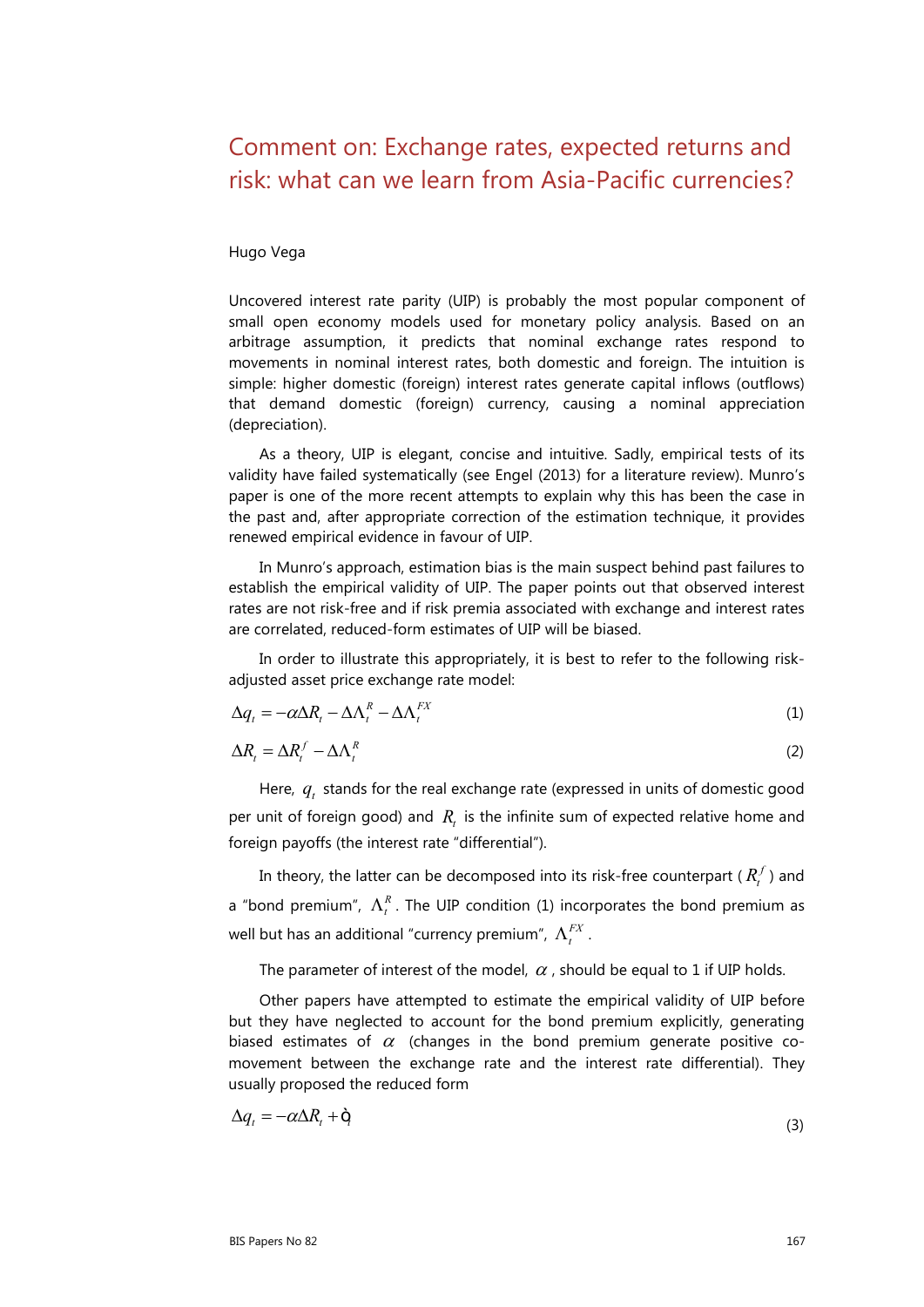## Comment on: Exchange rates, expected returns and risk: what can we learn from Asia-Pacific currencies?

Hugo Vega

Uncovered interest rate parity (UIP) is probably the most popular component of small open economy models used for monetary policy analysis. Based on an arbitrage assumption, it predicts that nominal exchange rates respond to movements in nominal interest rates, both domestic and foreign. The intuition is simple: higher domestic (foreign) interest rates generate capital inflows (outflows) that demand domestic (foreign) currency, causing a nominal appreciation (depreciation).

As a theory, UIP is elegant, concise and intuitive. Sadly, empirical tests of its validity have failed systematically (see Engel (2013) for a literature review). Munro's paper is one of the more recent attempts to explain why this has been the case in the past and, after appropriate correction of the estimation technique, it provides renewed empirical evidence in favour of UIP.

In Munro's approach, estimation bias is the main suspect behind past failures to establish the empirical validity of UIP. The paper points out that observed interest rates are not risk-free and if risk premia associated with exchange and interest rates are correlated, reduced-form estimates of UIP will be biased.

In order to illustrate this appropriately, it is best to refer to the following riskadjusted asset price exchange rate model:

$$
\Delta q_t = -\alpha \Delta R_t - \Delta \Lambda_t^R - \Delta \Lambda_t^{FX} \tag{1}
$$

$$
\Delta R_t = \Delta R_t^f - \Delta \Lambda_t^R \tag{2}
$$

Here,  $q_i$ , stands for the real exchange rate (expressed in units of domestic good per unit of foreign good) and  $R_t$  is the infinite sum of expected relative home and foreign payoffs (the interest rate "differential").

In theory, the latter can be decomposed into its risk-free counterpart ( $R_t^f$ ) and a "bond premium",  $Λ<sup>R</sup><sub>r</sub>$ . The UIP condition (1) incorporates the bond premium as well but has an additional "currency premium",  $\Lambda_t^{FX}$ .

The parameter of interest of the model,  $\alpha$ , should be equal to 1 if UIP holds.

Other papers have attempted to estimate the empirical validity of UIP before but they have neglected to account for the bond premium explicitly, generating biased estimates of  $\alpha$  (changes in the bond premium generate positive comovement between the exchange rate and the interest rate differential). They usually proposed the reduced form

$$
\Delta q_t = -\alpha \Delta R_t + \dot{Q}_t \tag{3}
$$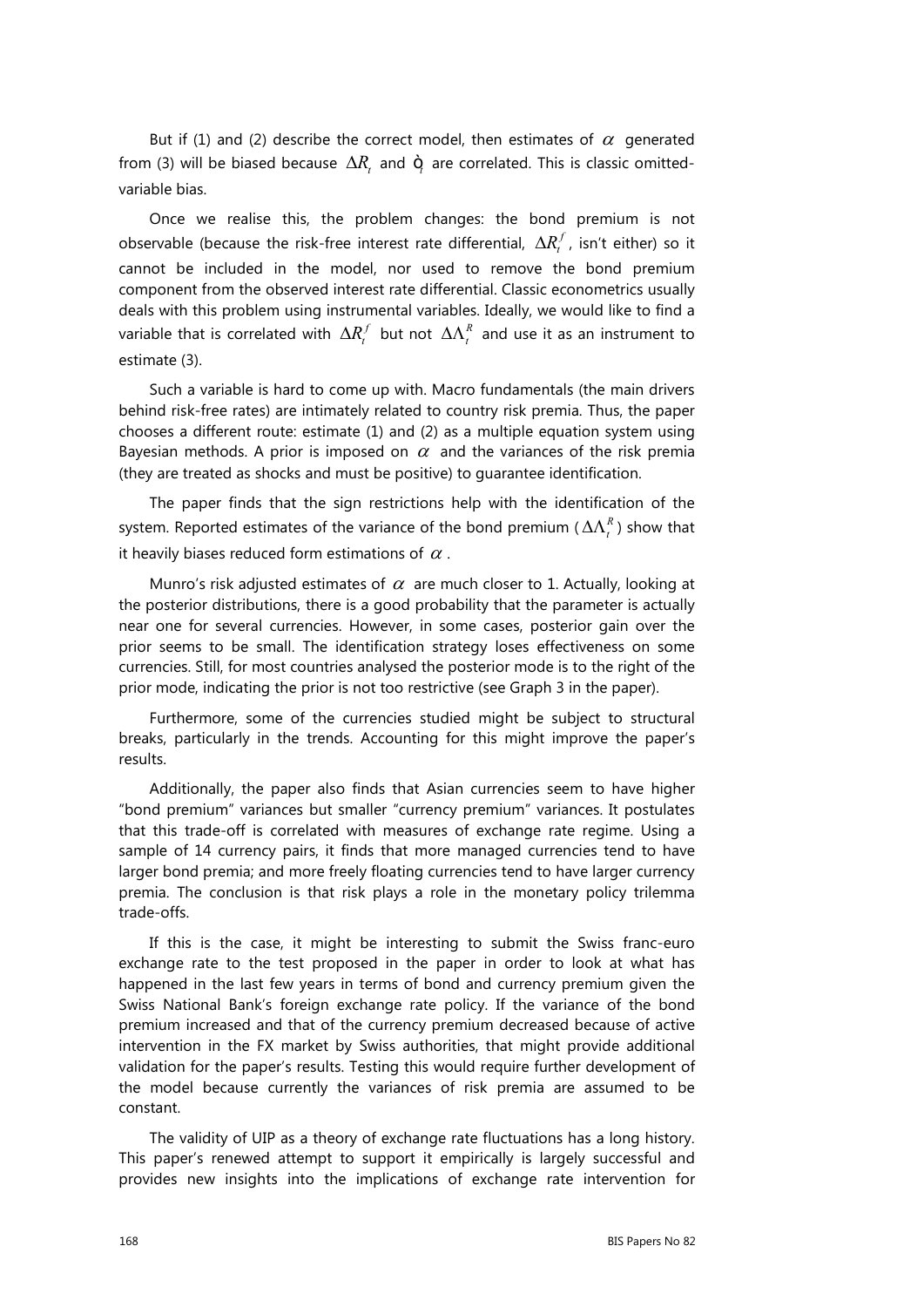But if (1) and (2) describe the correct model, then estimates of  $\alpha$  generated from (3) will be biased because  $\Delta R$ , and  $\dot{Q}$  are correlated. This is classic omittedvariable bias.

Once we realise this, the problem changes: the bond premium is not observable (because the risk-free interest rate differential,  $\Delta R_t^f$ , isn't either) so it cannot be included in the model, nor used to remove the bond premium component from the observed interest rate differential. Classic econometrics usually deals with this problem using instrumental variables. Ideally, we would like to find a variable that is correlated with  $\Delta R_t^f$  but not  $\Delta \Lambda_t^R$  and use it as an instrument to estimate (3).

Such a variable is hard to come up with. Macro fundamentals (the main drivers behind risk-free rates) are intimately related to country risk premia. Thus, the paper chooses a different route: estimate (1) and (2) as a multiple equation system using Bayesian methods. A prior is imposed on  $\alpha$  and the variances of the risk premia (they are treated as shocks and must be positive) to guarantee identification.

The paper finds that the sign restrictions help with the identification of the system. Reported estimates of the variance of the bond premium ( $\Delta\Lambda_t^R$ ) show that it heavily biases reduced form estimations of  $\alpha$ .

Munro's risk adjusted estimates of  $\alpha$  are much closer to 1. Actually, looking at the posterior distributions, there is a good probability that the parameter is actually near one for several currencies. However, in some cases, posterior gain over the prior seems to be small. The identification strategy loses effectiveness on some currencies. Still, for most countries analysed the posterior mode is to the right of the prior mode, indicating the prior is not too restrictive (see Graph 3 in the paper).

Furthermore, some of the currencies studied might be subject to structural breaks, particularly in the trends. Accounting for this might improve the paper's results.

Additionally, the paper also finds that Asian currencies seem to have higher "bond premium" variances but smaller "currency premium" variances. It postulates that this trade-off is correlated with measures of exchange rate regime. Using a sample of 14 currency pairs, it finds that more managed currencies tend to have larger bond premia; and more freely floating currencies tend to have larger currency premia. The conclusion is that risk plays a role in the monetary policy trilemma trade-offs.

If this is the case, it might be interesting to submit the Swiss franc-euro exchange rate to the test proposed in the paper in order to look at what has happened in the last few years in terms of bond and currency premium given the Swiss National Bank's foreign exchange rate policy. If the variance of the bond premium increased and that of the currency premium decreased because of active intervention in the FX market by Swiss authorities, that might provide additional validation for the paper's results. Testing this would require further development of the model because currently the variances of risk premia are assumed to be constant.

The validity of UIP as a theory of exchange rate fluctuations has a long history. This paper's renewed attempt to support it empirically is largely successful and provides new insights into the implications of exchange rate intervention for